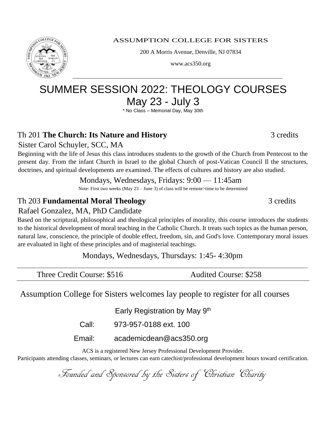

ASSUMPTION COLLEGE FOR SISTERS

200 A Morris Avenue, Denville, NJ 07834

www.acs350.org

## SUMMER SESSION 2022: THEOLOGY COURSES May 23 - July 3

\* No Class – Memorial Day, May 30th

#### Th 201 **The Church: Its Nature and History** 3 credits

Sister Carol Schuyler, SCC, MA

Beginning with the life of Jesus this class introduces students to the growth of the Church from Pentecost to the present day. From the infant Church in Israel to the global Church of post-Vatican Council Il the structures, doctrines, and spiritual developments are examined. The effects of cultures and history are also studied.

Mondays, Wednesdays, Fridays: 9:00 — 11:45am

Note: First two weeks (May 23 – June 3) of class will be remote>time to be determined

### Th 203 **Fundamental Moral Theology** 3 credits

#### Rafael Gonzalez, MA, PhD Candidate

Based on the scriptural, philosophical and theological principles of morality, this course introduces the students to the historical development of moral teaching in the Catholic Church. It treats such topics as the human person, natural law, conscience, the principle of double effect, freedom, sin, and God's love. Contemporary moral issues are evaluated in light of these principles and of magisterial teachings.

#### Mondays, Wednesdays, Thursdays: 1:45- 4:30pm

### Assumption College for Sisters welcomes lay people to register for all courses

Early Registration by May 9<sup>th</sup>

Call: 973-957-0188 ext. 100

Email: academicdean@acs350.org

ACS is a registered New Jersey Professional Development Provider.

Participants attending classes, seminars, or lectures can earn catechist/professional development hours toward certification.

Founded and Sponsored by the Sisters of Christian Charity